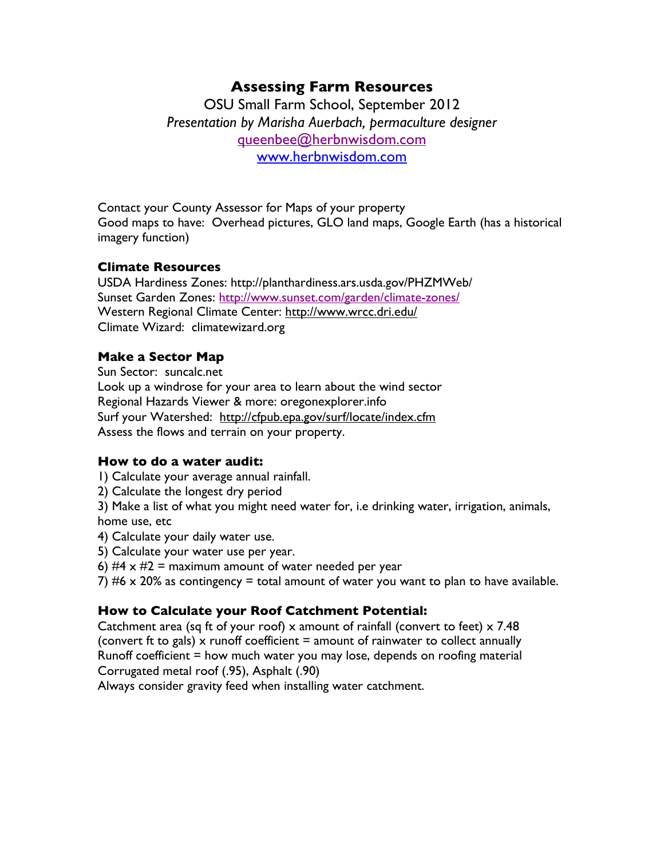# **Assessing Farm Resources**

OSU Small Farm School, September 2012 *Presentation by Marisha Auerbach, permaculture designer* queenbee@herbnwisdom.com www.herbnwisdom.com

Contact your County Assessor for Maps of your property Good maps to have: Overhead pictures, GLO land maps, Google Earth (has a historical imagery function)

## **Climate Resources**

USDA Hardiness Zones: http://planthardiness.ars.usda.gov/PHZMWeb/ Sunset Garden Zones: http://www.sunset.com/garden/climate-zones/ Western Regional Climate Center: http://www.wrcc.dri.edu/ Climate Wizard: climatewizard.org

## **Make a Sector Map**

Sun Sector: suncalc.net Look up a windrose for your area to learn about the wind sector Regional Hazards Viewer & more: oregonexplorer.info Surf your Watershed: http://cfpub.epa.gov/surf/locate/index.cfm Assess the flows and terrain on your property.

#### **How to do a water audit:**

- 1) Calculate your average annual rainfall.
- 2) Calculate the longest dry period

3) Make a list of what you might need water for, i.e drinking water, irrigation, animals, home use, etc

- 4) Calculate your daily water use.
- 5) Calculate your water use per year.
- 6)  $#4 \times #2 =$  maximum amount of water needed per year

7)  $#6 \times 20\%$  as contingency = total amount of water you want to plan to have available.

#### **How to Calculate your Roof Catchment Potential:**

Catchment area (sq ft of your roof) x amount of rainfall (convert to feet) x 7.48 (convert ft to gals) x runoff coefficient  $=$  amount of rainwater to collect annually Runoff coefficient = how much water you may lose, depends on roofing material Corrugated metal roof (.95), Asphalt (.90)

Always consider gravity feed when installing water catchment.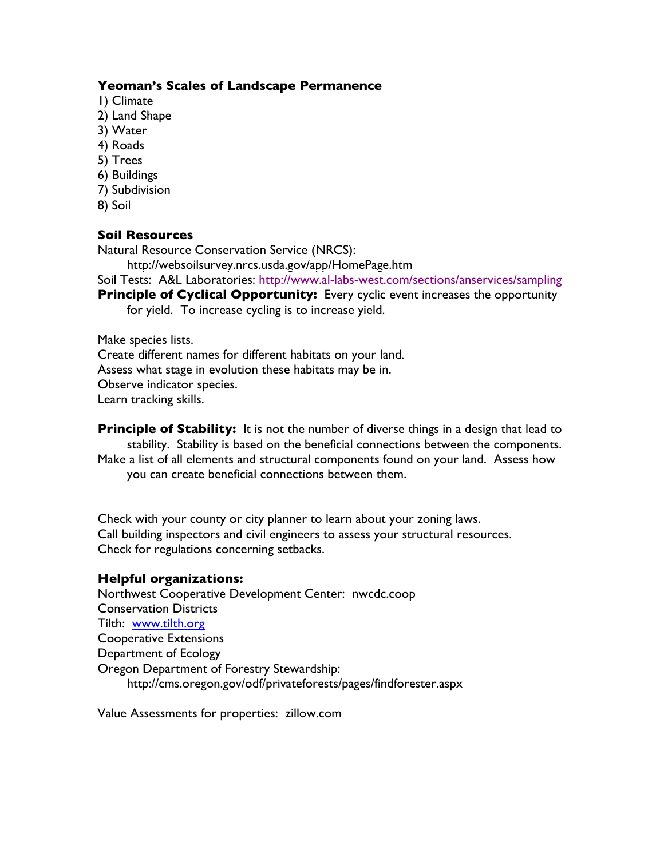#### **Yeoman's Scales of Landscape Permanence**

- 1) Climate
- 2) Land Shape
- 3) Water
- 4) Roads
- 5) Trees
- 6) Buildings
- 7) Subdivision
- 8) Soil

## **Soil Resources**

Natural Resource Conservation Service (NRCS):

http://websoilsurvey.nrcs.usda.gov/app/HomePage.htm

Soil Tests: A&L Laboratories: http://www.al-labs-west.com/sections/anservices/sampling

**Principle of Cyclical Opportunity:** Every cyclic event increases the opportunity for yield. To increase cycling is to increase yield.

Make species lists.

Create different names for different habitats on your land. Assess what stage in evolution these habitats may be in. Observe indicator species. Learn tracking skills.

**Principle of Stability:** It is not the number of diverse things in a design that lead to stability. Stability is based on the beneficial connections between the components. Make a list of all elements and structural components found on your land. Assess how you can create beneficial connections between them.

Check with your county or city planner to learn about your zoning laws. Call building inspectors and civil engineers to assess your structural resources. Check for regulations concerning setbacks.

#### **Helpful organizations:**

Northwest Cooperative Development Center: nwcdc.coop Conservation Districts Tilth: www.tilth.org Cooperative Extensions Department of Ecology Oregon Department of Forestry Stewardship: http://cms.oregon.gov/odf/privateforests/pages/findforester.aspx

Value Assessments for properties: zillow.com